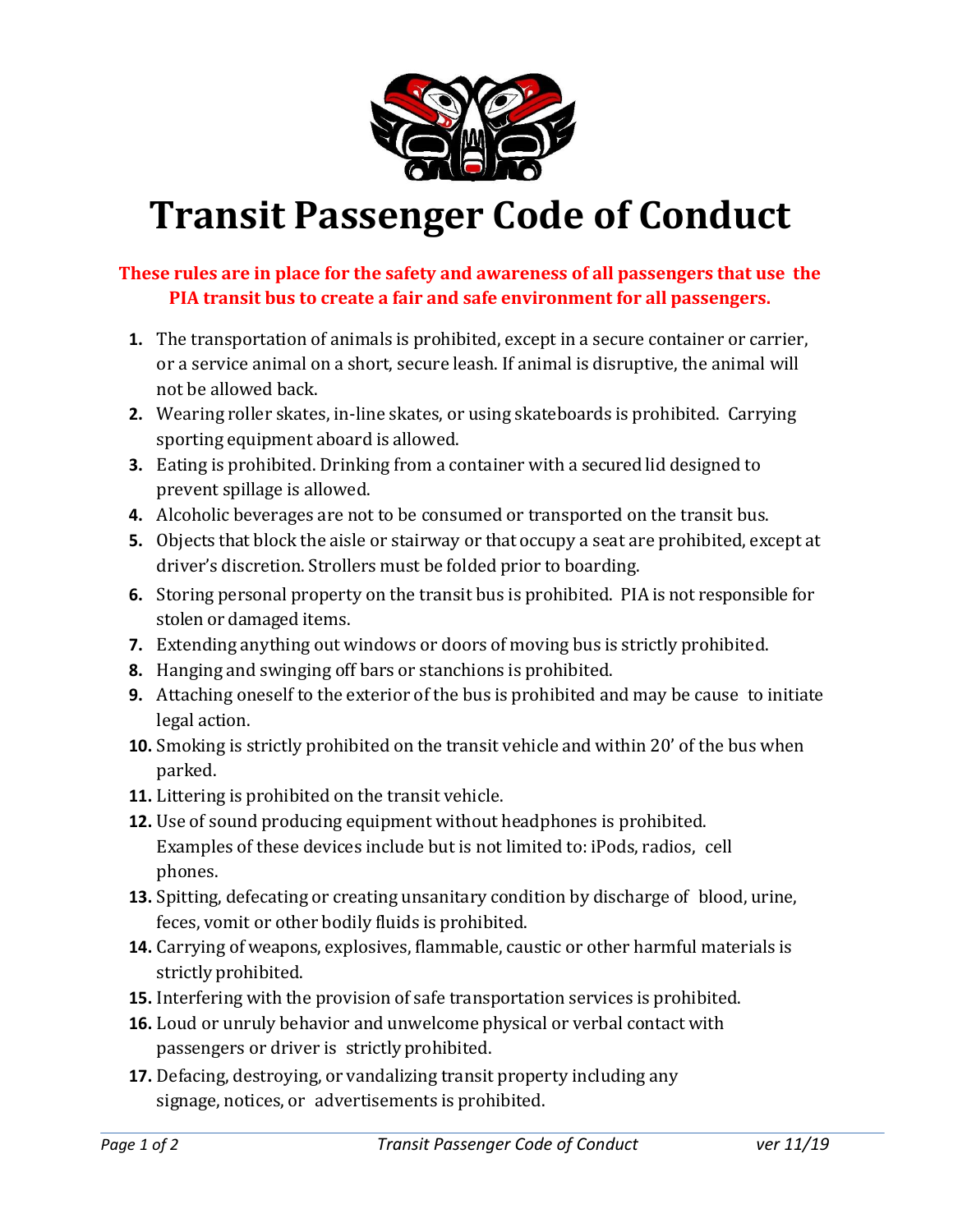

## **Transit Passenger Code of Conduct**

## **These rules are in place for the safety and awareness of all passengers that use the PIA transit bus to create a fair and safe environment for all passengers.**

- **1.** The transportation of animals is prohibited, except in a secure container or carrier, or a service animal on a short, secure leash. If animal is disruptive, the animal will not be allowed back.
- **2.** Wearing roller skates, in-line skates, or using skateboards is prohibited. Carrying sporting equipment aboard is allowed.
- **3.** Eating is prohibited. Drinking from a container with a secured lid designed to prevent spillage is allowed.
- **4.** Alcoholic beverages are not to be consumed or transported on the transit bus.
- **5.** Objects that block the aisle or stairway or that occupy a seat are prohibited, except at driver's discretion. Strollers must be folded prior to boarding.
- **6.** Storing personal property on the transit bus is prohibited. PIA is not responsible for stolen or damaged items.
- **7.** Extending anything out windows or doors of moving bus is strictly prohibited.
- **8.** Hanging and swinging off bars or stanchions is prohibited.
- **9.** Attaching oneself to the exterior of the bus is prohibited and may be cause to initiate legal action.
- **10.** Smoking is strictly prohibited on the transit vehicle and within 20' of the bus when parked.
- **11.** Littering is prohibited on the transit vehicle.
- **12.** Use of sound producing equipment without headphones is prohibited. Examples of these devices include but is not limited to: iPods, radios, cell phones.
- **13.** Spitting, defecating or creating unsanitary condition by discharge of blood, urine, feces, vomit or other bodily fluids is prohibited.
- **14.** Carrying of weapons, explosives, flammable, caustic or other harmful materials is strictly prohibited.
- **15.** Interfering with the provision of safe transportation services is prohibited.
- **16.** Loud or unruly behavior and unwelcome physical or verbal contact with passengers or driver is strictly prohibited.
- **17.** Defacing, destroying, or vandalizing transit property including any signage, notices, or advertisements is prohibited.